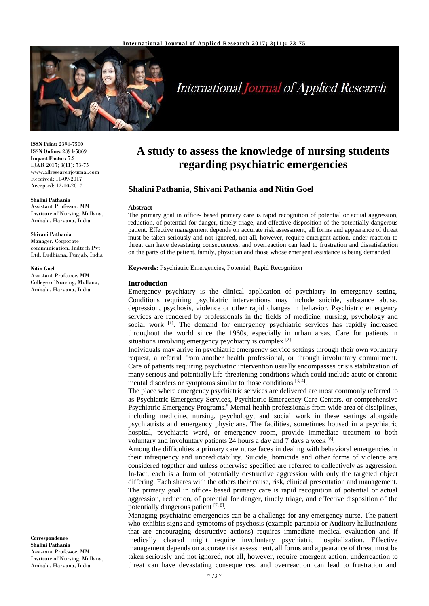

# **International Journal of Applied Research**

**ISSN Print:** 2394-7500 **ISSN Online:** 2394-5869 **Impact Factor:** 5.2 IJAR 2017; 3(11): 73-75 www.allresearchjournal.com Received: 11-09-2017 Accepted: 12-10-2017

#### **Shalini Pathania**

Assistant Professor, MM Institute of Nursing, Mullana, Ambala, Haryana, India

#### **Shivani Pathania**

Manager, Corporate communication, Indtech Pvt Ltd, Ludhiana, Punjab, India

#### **Nitin Goel**

Assistant Professor, MM College of Nursing, Mullana, Ambala, Haryana, India

**Correspondence Shalini Pathania** Assistant Professor, MM Institute of Nursing, Mullana, Ambala, Haryana, India

# **A study to assess the knowledge of nursing students regarding psychiatric emergencies**

# **Shalini Pathania, Shivani Pathania and Nitin Goel**

#### **Abstract**

The primary goal in office- based primary care is rapid recognition of potential or actual aggression, reduction, of potential for danger, timely triage, and effective disposition of the potentially dangerous patient. Effective management depends on accurate risk assessment, all forms and appearance of threat must be taken seriously and not ignored, not all, however, require emergent action, under reaction to threat can have devastating consequences, and overreaction can lead to frustration and dissatisfaction on the parts of the patient, family, physician and those whose emergent assistance is being demanded.

**Keywords:** Psychiatric Emergencies, Potential, Rapid Recognition

#### **Introduction**

Emergency psychiatry is the clinical application of psychiatry in emergency setting. Conditions requiring psychiatric interventions may include suicide, substance abuse, depression, psychosis, violence or other rapid changes in behavior. Psychiatric emergency services are rendered by professionals in the fields of medicine, nursing, psychology and social work <sup>[1]</sup>. The demand for emergency psychiatric services has rapidly increased throughout the world since the 1960s, especially in urban areas. Care for patients in situations involving emergency psychiatry is complex  $[2]$ .

Individuals may arrive in psychiatric emergency service settings through their own voluntary request, a referral from another health professional, or through involuntary commitment. Care of patients requiring psychiatric intervention usually encompasses crisis stabilization of many serious and potentially life-threatening conditions which could include acute or chronic mental disorders or symptoms similar to those conditions [3, 4].

The place where emergency psychiatric services are delivered are most commonly referred to as Psychiatric Emergency Services, Psychiatric Emergency Care Centers, or comprehensive Psychiatric Emergency Programs.<sup>5</sup> Mental health professionals from wide area of disciplines, including medicine, nursing, psychology, and social work in these settings alongside psychiatrists and emergency physicians. The facilities, sometimes housed in a psychiatric hospital, psychiatric ward, or emergency room, provide immediate treatment to both voluntary and involuntary patients 24 hours a day and 7 days a week [6].

Among the difficulties a primary care nurse faces in dealing with behavioral emergencies in their infrequency and unpredictability. Suicide, homicide and other forms of violence are considered together and unless otherwise specified are referred to collectively as aggression. In-fact, each is a form of potentially destructive aggression with only the targeted object differing. Each shares with the others their cause, risk, clinical presentation and management. The primary goal in office- based primary care is rapid recognition of potential or actual aggression, reduction, of potential for danger, timely triage, and effective disposition of the potentially dangerous patient [7, 8].

Managing psychiatric emergencies can be a challenge for any emergency nurse. The patient who exhibits signs and symptoms of psychosis (example paranoia or Auditory hallucinations that are encouraging destructive actions) requires immediate medical evaluation and if medically cleared might require involuntary psychiatric hospitalization. Effective management depends on accurate risk assessment, all forms and appearance of threat must be taken seriously and not ignored, not all, however, require emergent action, underreaction to threat can have devastating consequences, and overreaction can lead to frustration and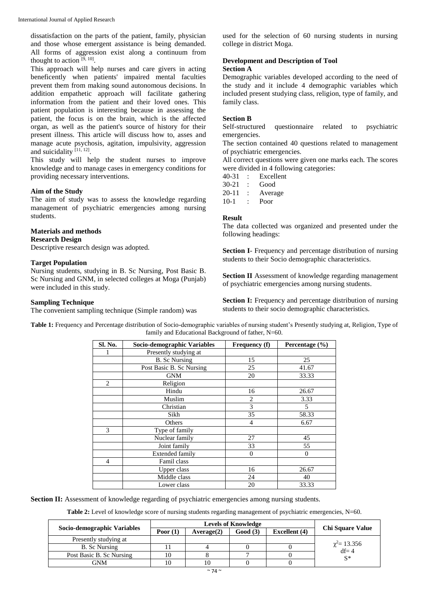dissatisfaction on the parts of the patient, family, physician and those whose emergent assistance is being demanded. All forms of aggression exist along a continuum from thought to action  $[9, 10]$ .

This approach will help nurses and care givers in acting beneficently when patients' impaired mental faculties prevent them from making sound autonomous decisions. In addition empathetic approach will facilitate gathering information from the patient and their loved ones. This patient population is interesting because in assessing the patient, the focus is on the brain, which is the affected organ, as well as the patient's source of history for their present illness. This article will discuss how to, asses and manage acute psychosis, agitation, impulsivity, aggression and suicidality [11, 12].

This study will help the student nurses to improve knowledge and to manage cases in emergency conditions for providing necessary interventions.

### **Aim of the Study**

The aim of study was to assess the knowledge regarding management of psychiatric emergencies among nursing students.

## **Materials and methods**

**Research Design**

Descriptive research design was adopted.

#### **Target Population**

Nursing students, studying in B. Sc Nursing, Post Basic B. Sc Nursing and GNM, in selected colleges at Moga (Punjab) were included in this study.

#### **Sampling Technique**

The convenient sampling technique (Simple random) was

used for the selection of 60 nursing students in nursing college in district Moga.

#### **Development and Description of Tool Section A**

Demographic variables developed according to the need of the study and it include 4 demographic variables which included present studying class, religion, type of family, and family class.

#### **Section B**

Self-structured questionnaire related to psychiatric emergencies.

The section contained 40 questions related to management of psychiatric emergencies.

All correct questions were given one marks each. The scores were divided in 4 following categories:

| 40-31     |   | Excellent |
|-----------|---|-----------|
| $30 - 21$ | ٠ | Good      |
| $20 - 11$ | ٠ | Average   |
| $1() - 1$ | ٠ | Poor      |

#### **Result**

The data collected was organized and presented under the following headings:

**Section I**- Frequency and percentage distribution of nursing students to their Socio demographic characteristics.

**Section II** Assessment of knowledge regarding management of psychiatric emergencies among nursing students.

**Section I:** Frequency and percentage distribution of nursing students to their socio demographic characteristics.

**Table 1:** Frequency and Percentage distribution of Socio-demographic variables of nursing student's Presently studying at, Religion, Type of family and Educational Background of father, N=60.

| Sl. No.                       | Socio-demographic Variables | Frequency (f)  | Percentage (%) |  |
|-------------------------------|-----------------------------|----------------|----------------|--|
|                               | Presently studying at       |                |                |  |
|                               | <b>B.</b> Sc Nursing        | 15             | 25             |  |
|                               | Post Basic B. Sc Nursing    | 25             | 41.67          |  |
|                               | <b>GNM</b>                  | 20             | 33.33          |  |
| $\mathfrak{D}_{\mathfrak{p}}$ | Religion                    |                |                |  |
|                               | Hindu                       | 16             | 26.67          |  |
|                               | Muslim                      | $\overline{2}$ | 3.33           |  |
|                               | Christian                   | 3              | 5              |  |
|                               | Sikh                        | 35             | 58.33          |  |
|                               | Others                      | $\overline{4}$ | 6.67           |  |
| 3                             | Type of family              |                |                |  |
|                               | Nuclear family              | 27             | 45             |  |
|                               | Joint family                | 33             | 55             |  |
|                               | <b>Extended family</b>      | $\Omega$       | $\mathbf{0}$   |  |
| $\overline{4}$                | Famil class                 |                |                |  |
|                               | Upper class                 | 16             | 26.67          |  |
|                               | Middle class                | 24             | 40             |  |
|                               | Lower class                 | 20             | 33.33          |  |

**Section II:** Assessment of knowledge regarding of psychiatric emergencies among nursing students.

**Table 2:** Level of knowledge score of nursing students regarding management of psychiatric emergencies, N=60.

|                             | <b>Levels of Knowledge</b> |            |         |                      |                               |
|-----------------------------|----------------------------|------------|---------|----------------------|-------------------------------|
| Socio-demographic Variables | Poor $(1)$                 | Average(2) | Good(3) | <b>Excellent</b> (4) | <b>Chi Square Value</b>       |
| Presently studying at       |                            |            |         |                      |                               |
| B. Sc Nursing               |                            |            |         |                      | $\chi^2$ = 13.356<br>$df = 4$ |
| Post Basic B. Sc Nursing    |                            |            |         |                      | $S^*$                         |
| GNM                         |                            |            |         |                      |                               |